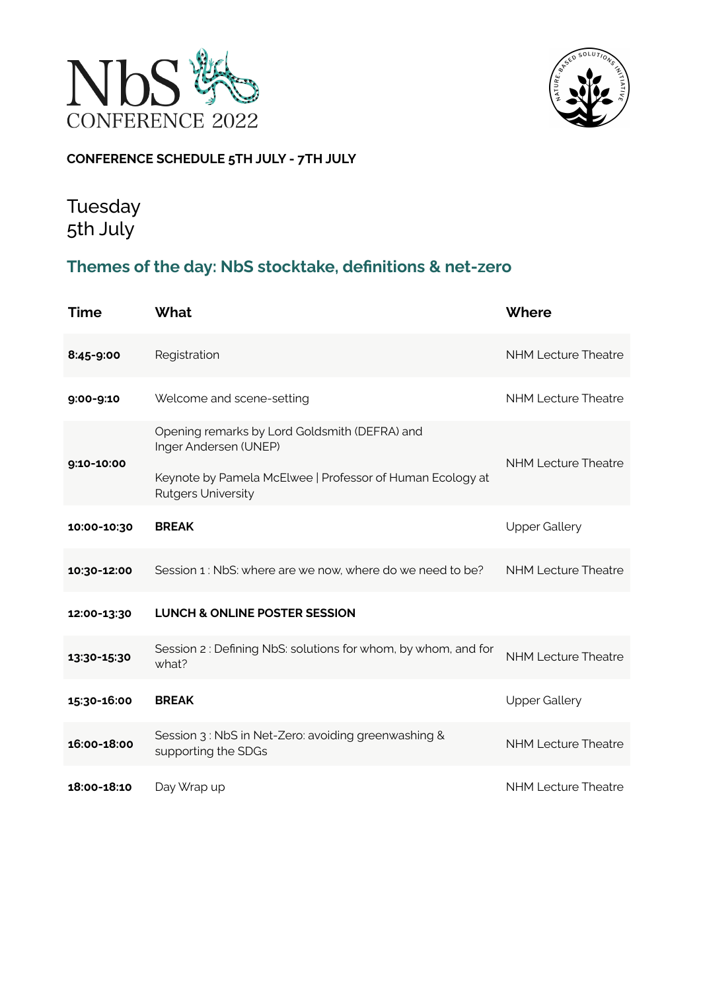



### **CONFERENCE SCHEDULE 5TH JULY - 7TH JULY**

## Tuesday 5th July

### **Themes of the day: NbS stocktake, definitions & net-zero**

| <b>Time</b> | <b>What</b>                                                                                                                                                      | Where                      |
|-------------|------------------------------------------------------------------------------------------------------------------------------------------------------------------|----------------------------|
| 8:45-9:00   | Registration                                                                                                                                                     | <b>NHM Lecture Theatre</b> |
| 9:00-9:10   | Welcome and scene-setting                                                                                                                                        | <b>NHM Lecture Theatre</b> |
| 9:10-10:00  | Opening remarks by Lord Goldsmith (DEFRA) and<br>Inger Andersen (UNEP)<br>Keynote by Pamela McElwee   Professor of Human Ecology at<br><b>Rutgers University</b> | <b>NHM Lecture Theatre</b> |
| 10:00-10:30 | <b>BREAK</b>                                                                                                                                                     | <b>Upper Gallery</b>       |
| 10:30-12:00 | Session 1: NbS: where are we now, where do we need to be?                                                                                                        | <b>NHM Lecture Theatre</b> |
| 12:00-13:30 | <b>LUNCH &amp; ONLINE POSTER SESSION</b>                                                                                                                         |                            |
| 13:30-15:30 | Session 2: Defining NbS: solutions for whom, by whom, and for<br>what?                                                                                           | <b>NHM Lecture Theatre</b> |
| 15:30-16:00 | <b>BREAK</b>                                                                                                                                                     | <b>Upper Gallery</b>       |
| 16:00-18:00 | Session 3: NbS in Net-Zero: avoiding greenwashing &<br>supporting the SDGs                                                                                       | <b>NHM Lecture Theatre</b> |
| 18:00-18:10 | Day Wrap up                                                                                                                                                      | <b>NHM Lecture Theatre</b> |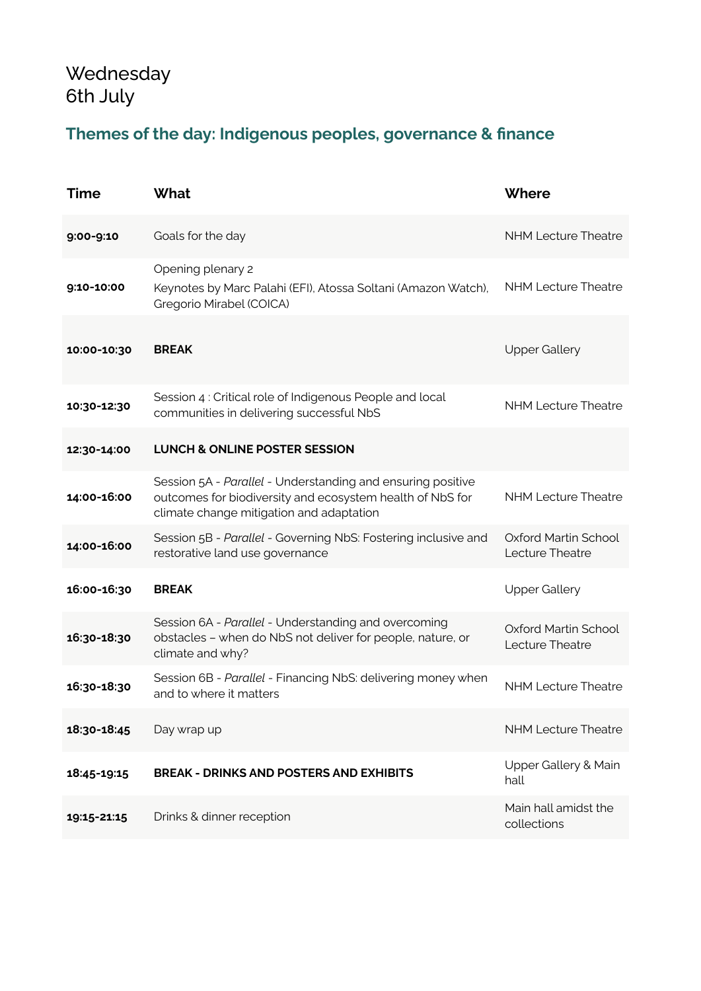# **Wednesday** 6th July

## **Themes of the day: Indigenous peoples, governance & finance**

| <b>Time</b> | <b>What</b>                                                                                                                                                          | Where                                   |
|-------------|----------------------------------------------------------------------------------------------------------------------------------------------------------------------|-----------------------------------------|
| 9:00-9:10   | Goals for the day                                                                                                                                                    | <b>NHM Lecture Theatre</b>              |
| 9:10-10:00  | Opening plenary 2<br>Keynotes by Marc Palahi (EFI), Atossa Soltani (Amazon Watch),<br>Gregorio Mirabel (COICA)                                                       | <b>NHM Lecture Theatre</b>              |
| 10:00-10:30 | <b>BREAK</b>                                                                                                                                                         | <b>Upper Gallery</b>                    |
| 10:30-12:30 | Session 4 : Critical role of Indigenous People and local<br>communities in delivering successful NbS                                                                 | <b>NHM Lecture Theatre</b>              |
| 12:30-14:00 | <b>LUNCH &amp; ONLINE POSTER SESSION</b>                                                                                                                             |                                         |
| 14:00-16:00 | Session 5A - Parallel - Understanding and ensuring positive<br>outcomes for biodiversity and ecosystem health of NbS for<br>climate change mitigation and adaptation | <b>NHM Lecture Theatre</b>              |
| 14:00-16:00 | Session 5B - Parallel - Governing NbS: Fostering inclusive and<br>restorative land use governance                                                                    | Oxford Martin School<br>Lecture Theatre |
| 16:00-16:30 | <b>BREAK</b>                                                                                                                                                         | <b>Upper Gallery</b>                    |
| 16:30-18:30 | Session 6A - Parallel - Understanding and overcoming<br>obstacles - when do NbS not deliver for people, nature, or<br>climate and why?                               | Oxford Martin School<br>Lecture Theatre |
| 16:30-18:30 | Session 6B - Parallel - Financing NbS: delivering money when<br>and to where it matters                                                                              | <b>NHM Lecture Theatre</b>              |
| 18:30-18:45 | Day wrap up                                                                                                                                                          | <b>NHM Lecture Theatre</b>              |
| 18:45-19:15 | <b>BREAK - DRINKS AND POSTERS AND EXHIBITS</b>                                                                                                                       | Upper Gallery & Main<br>hall            |
| 19:15-21:15 | Drinks & dinner reception                                                                                                                                            | Main hall amidst the<br>collections     |